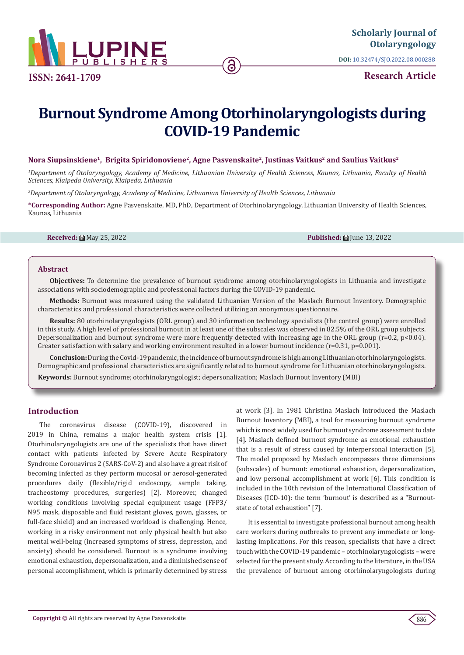

**ISSN: 2641-1709**

**DOI:** [10.32474/SJO.2022.08.000288](http://dx.doi.org/10.32474/SJO.2022.08.000288)

**Research Article**

# **Burnout Syndrome Among Otorhinolaryngologists during COVID-19 Pandemic**

## **Nora Siupsinskiene1, Brigita Spiridonoviene2, Agne Pasvenskaite2, Justinas Vaitkus2 and Saulius Vaitkus2**

*1 Department of Otolaryngology, Academy of Medicine, Lithuanian University of Health Sciences, Kaunas, Lithuania, Faculty of Health Sciences, Klaipeda University, Klaipeda, Lithuania*

*2 Department of Otolaryngology, Academy of Medicine, Lithuanian University of Health Sciences, Lithuania*

**\*Corresponding Author:** Agne Pasvenskaite, MD, PhD, Department of Otorhinolaryngology, Lithuanian University of Health Sciences, Kaunas, Lithuania

**Received:** 扁 May 25, 2022 **Published:** 扁 Iune 13, 2022

#### **Abstract**

**Objectives:** To determine the prevalence of burnout syndrome among otorhinolaryngologists in Lithuania and investigate associations with sociodemographic and professional factors during the COVID-19 pandemic.

**Methods:** Burnout was measured using the validated Lithuanian Version of the Maslach Burnout Inventory. Demographic characteristics and professional characteristics were collected utilizing an anonymous questionnaire.

**Results:** 80 otorhinolaryngologists (ORL group) and 30 information technology specialists (the control group) were enrolled in this study. A high level of professional burnout in at least one of the subscales was observed in 82.5% of the ORL group subjects. Depersonalization and burnout syndrome were more frequently detected with increasing age in the ORL group ( $r=0.2$ ,  $p<0.04$ ). Greater satisfaction with salary and working environment resulted in a lower burnout incidence  $(r=0.31, p=0.001)$ .

**Conclusion:** During the Covid-19 pandemic, the incidence of burnout syndrome is high among Lithuanian otorhinolaryngologists. Demographic and professional characteristics are significantly related to burnout syndrome for Lithuanian otorhinolaryngologists.

**Keywords:** Burnout syndrome; otorhinolaryngologist; depersonalization; Maslach Burnout Inventory (MBI)

# **Introduction**

The coronavirus disease (COVID-19), discovered in 2019 in China, remains a major health system crisis [1]. Otorhinolaryngologists are one of the specialists that have direct contact with patients infected by Severe Acute Respiratory Syndrome Coronavirus 2 (SARS-CoV-2) and also have a great risk of becoming infected as they perform mucosal or aerosol-generated procedures daily (flexible/rigid endoscopy, sample taking, tracheostomy procedures, surgeries) [2]. Moreover, changed working conditions involving special equipment usage (FFP3/ N95 mask, disposable and fluid resistant gloves, gown, glasses, or full-face shield) and an increased workload is challenging. Hence, working in a risky environment not only physical health but also mental well-being (increased symptoms of stress, depression, and anxiety) should be considered. Burnout is a syndrome involving emotional exhaustion, depersonalization, and a diminished sense of personal accomplishment, which is primarily determined by stress

at work [3]. In 1981 Christina Maslach introduced the Maslach Burnout Inventory (MBI), a tool for measuring burnout syndrome which is most widely used for burnout syndrome assessment to date [4]. Maslach defined burnout syndrome as emotional exhaustion that is a result of stress caused by interpersonal interaction [5]. The model proposed by Maslach encompasses three dimensions (subscales) of burnout: emotional exhaustion, depersonalization, and low personal accomplishment at work [6]. This condition is included in the 10th revision of the International Classification of Diseases (ICD-10): the term 'burnout' is described as a "Burnoutstate of total exhaustion" [7].

It is essential to investigate professional burnout among health care workers during outbreaks to prevent any immediate or longlasting implications. For this reason, specialists that have a direct touch with the COVID-19 pandemic – otorhinolaryngologists – were selected for the present study. According to the literature, in the USA the prevalence of burnout among otorhinolaryngologists during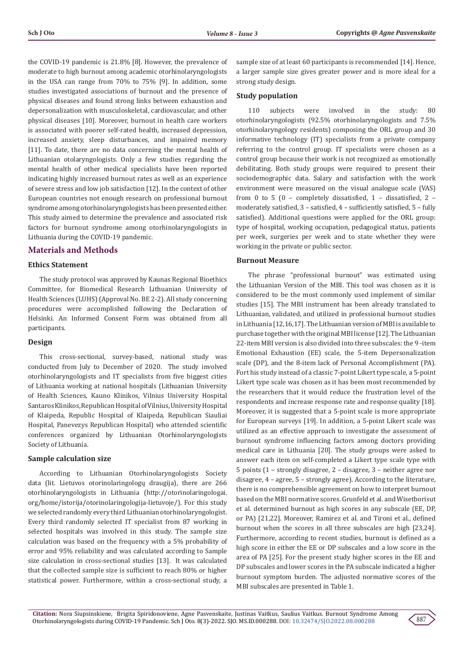the COVID-19 pandemic is 21.8% [8]. However, the prevalence of moderate to high burnout among academic otorhinolaryngologists in the USA can range from 70% to 75% [9]. In addition, some studies investigated associations of burnout and the presence of physical diseases and found strong links between exhaustion and depersonalization with musculoskeletal, cardiovascular, and other physical diseases [10]. Moreover, burnout in health care workers is associated with poorer self-rated health, increased depression, increased anxiety, sleep disturbances, and impaired memory [11]. To date, there are no data concerning the mental health of Lithuanian otolaryngologists. Only a few studies regarding the mental health of other medical specialists have been reported indicating highly increased burnout rates as well as an experience of severe stress and low job satisfaction [12]. In the context of other European countries not enough research on professional burnout syndrome among otorhinolaryngologists has been presented either. This study aimed to determine the prevalence and associated risk factors for burnout syndrome among otorhinolaryngologists in Lithuania during the COVID-19 pandemic.

# **Materials and Methods**

#### **Ethics Statement**

The study protocol was approved by Kaunas Regional Bioethics Committee, for Biomedical Research Lithuanian University of Health Sciences (LUHS) (Approval No. BE 2-2). All study concerning procedures were accomplished following the Declaration of Helsinki. An Informed Consent Form was obtained from all participants.

#### **Design**

This cross-sectional, survey-based, national study was conducted from July to December of 2020. The study involved otorhinolaryngologists and IT specialists from five biggest cities of Lithuania working at national hospitals (Lithuanian University of Health Sciences, Kauno Klinikos, Vilnius University Hospital Santaros Klinikos, Republican Hospital of Vilnius, University Hospital of Klaipeda, Republic Hospital of Klaipeda, Republican Siauliai Hospital, Panevezys Republican Hospital) who attended scientific conferences organized by Lithuanian Otorhinolaryngologists Society of Lithuania.

#### **Sample calculation size**

According to Lithuanian Otorhinolaryngologists Society data (lit. Lietuvos otorinolaringologų draugija), there are 266 otorhinolaryngologists in Lithuania (http://otorinolaringologai. org/home/istorija/otorinolaringologija-lietuvoje/). For this study we selected randomly every third Lithuanian otorhinolaryngologist. Every third randomly selected IT specialist from 87 working in selected hospitals was involved in this study. The sample size calculation was based on the frequency with a 5% probability of error and 95% reliability and was calculated according to Sample size calculation in cross-sectional studies [13]. It was calculated that the collected sample size is sufficient to reach 80% or higher statistical power. Furthermore, within a cross-sectional study, a

sample size of at least 60 participants is recommended [14]. Hence, a larger sample size gives greater power and is more ideal for a strong study design.

#### **Study population**

110 subjects were involved in the study: 80 otorhinolaryngologists (92.5% otorhinolaryngologists and 7.5% otorhinolaryngology residents) composing the ORL group and 30 informative technology (IT) specialists from a private company referring to the control group. IT specialists were chosen as a control group because their work is not recognized as emotionally debilitating. Both study groups were required to present their sociodemographic data. Salary and satisfaction with the work environment were measured on the visual analogue scale (VAS) from 0 to 5 (0 – completely dissatisfied, 1 – dissatisfied, 2 – moderately satisfied, 3 – satisfied, 4 – sufficiently satisfied, 5 – fully satisfied). Additional questions were applied for the ORL group: type of hospital, working occupation, pedagogical status, patients per week, surgeries per week and to state whether they were working in the private or public sector.

#### **Burnout Measure**

The phrase "professional burnout" was estimated using the Lithuanian Version of the MBI. This tool was chosen as it is considered to be the most commonly used implement of similar studies [15]. The MBI instrument has been already translated to Lithuanian, validated, and utilized in professional burnout studies in Lithuania [12,16,17]. The Lithuanian version of MBI is available to purchase together with the original MBI license [12]. The Lithuanian 22-item MBI version is also divided into three subscales: the 9 -item Emotional Exhaustion (EE) scale, the 5-item Depersonalization scale (DP), and the 8-item lack of Personal Accomplishment (PA). Fort his study instead of a classic 7-point Likert type scale, a 5-point Likert type scale was chosen as it has been most recommended by the researchers that it would reduce the frustration level of the respondents and increase response rate and response quality [18]. Moreover, it is suggested that a 5-point scale is more appropriate for European surveys [19]. In addition, a 5-point Likert scale was utilized as an effective approach to investigate the assessment of burnout syndrome influencing factors among doctors providing medical care in Lithuania [20]. The study groups were asked to answer each item on self-completed a Likert type scale type with 5 points (1 – strongly disagree, 2 – disagree, 3 – neither agree nor disagree, 4 – agree, 5 – strongly agree). According to the literature, there is no comprehensible agreement on how to interpret burnout based on the MBI normative scores. Grunfeld et al. and Wisetborisut et al. determined burnout as high scores in any subscale (EE, DP, or PA) [21,22]. Moreover, Ramirez et al. and Tironi et al., defined burnout when the scores in all three subscales are high [23,24]. Furthermore, according to recent studies, burnout is defined as a high score in either the EE or DP subscales and a low score in the area of PA [25]. For the present study higher scores in the EE and DP subscales and lower scores in the PA subscale indicated a higher burnout symptom burden. The adjusted normative scores of the MBI subscales are presented in Table 1.

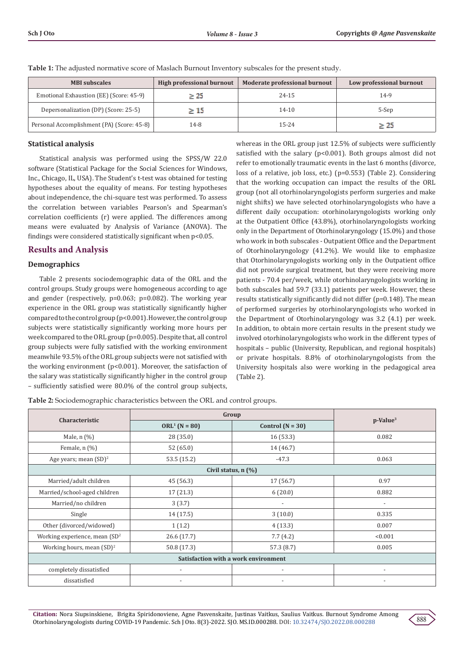| <b>MBI</b> subscales                       | High professional burnout | Moderate professional burnout | Low professional burnout |  |  |
|--------------------------------------------|---------------------------|-------------------------------|--------------------------|--|--|
| Emotional Exhaustion (EE) (Score: 45-9)    | $\geq 25$                 | 24-15                         | 14-9                     |  |  |
| Depersonalization (DP) (Score: 25-5)       | $\geq 15$                 | 14-10                         | 5-Sep                    |  |  |
| Personal Accomplishment (PA) (Score: 45-8) | 14-8                      | 15-24                         | $\geq 25$                |  |  |

**Table 1:** The adjusted normative score of Maslach Burnout Inventory subscales for the present study.

# **Statistical analysis**

Statistical analysis was performed using the SPSS/W 22.0 software (Statistical Package for the Social Sciences for Windows, Inc., Chicago, IL, USA). The Student's t-test was obtained for testing hypotheses about the equality of means. For testing hypotheses about independence, the chi-square test was performed. To assess the correlation between variables Pearson's and Spearman's correlation coefficients (r) were applied. The differences among means were evaluated by Analysis of Variance (ANOVA). The findings were considered statistically significant when p<0.05.

# **Results and Analysis**

## **Demographics**

Table 2 presents sociodemographic data of the ORL and the control groups. Study groups were homogeneous according to age and gender (respectively, p=0.063; p=0.082). The working year experience in the ORL group was statistically significantly higher compared to the control group (p<0.001). However, the control group subjects were statistically significantly working more hours per week compared to the ORL group (p=0.005). Despite that, all control group subjects were fully satisfied with the working environment meanwhile 93.5% of the ORL group subjects were not satisfied with the working environment (p<0.001). Moreover, the satisfaction of the salary was statistically significantly higher in the control group – sufficiently satisfied were 80.0% of the control group subjects,

whereas in the ORL group just 12.5% of subjects were sufficiently satisfied with the salary (p<0.001). Both groups almost did not refer to emotionally traumatic events in the last 6 months (divorce, loss of a relative, job loss, etc.) (p=0.553) (Table 2). Considering that the working occupation can impact the results of the ORL group (not all otorhinolaryngologists perform surgeries and make night shifts) we have selected otorhinolaryngologists who have a different daily occupation: otorhinolaryngologists working only at the Outpatient Office (43.8%), otorhinolaryngologists working only in the Department of Otorhinolaryngology (15.0%) and those who work in both subscales - Outpatient Office and the Department of Otorhinolaryngology (41.2%). We would like to emphasize that Otorhinolaryngologists working only in the Outpatient office did not provide surgical treatment, but they were receiving more patients - 70.4 per/week, while otorhinolaryngologists working in both subscales had 59.7 (33.1) patients per week. However, these results statistically significantly did not differ (p=0.148). The mean of performed surgeries by otorhinolaryngologists who worked in the Department of Otorhinolaryngology was 3.2 (4.1) per week. In addition, to obtain more certain results in the present study we involved otorhinolaryngologists who work in the different types of hospitals – public (University, Republican, and regional hospitals) or private hospitals. 8.8% of otorhinolaryngologists from the University hospitals also were working in the pedagogical area (Table 2).

**Table 2:** Sociodemographic characteristics between the ORL and control groups.

|                                              | Group                    |                          |                          |  |  |  |  |  |  |  |  |  |
|----------------------------------------------|--------------------------|--------------------------|--------------------------|--|--|--|--|--|--|--|--|--|
| Characteristic                               | $ORL1$ (N = 80)          | Control $(N = 30)$       | $p$ -Value <sup>3</sup>  |  |  |  |  |  |  |  |  |  |
| Male, $n$ $(\%)$                             | 28 (35.0)                | 16(53.3)                 | 0.082                    |  |  |  |  |  |  |  |  |  |
| Female, $n$ $(\%)$                           | 52 (65.0)                | 14 (46.7)                |                          |  |  |  |  |  |  |  |  |  |
| Age years; mean $(SD)^2$                     | 53.5 (15.2)              | $-47.3$                  | 0.063                    |  |  |  |  |  |  |  |  |  |
| Civil status, $n$ $\left(\frac{0}{0}\right)$ |                          |                          |                          |  |  |  |  |  |  |  |  |  |
| Married/adult children                       | 45 (56.3)                | 17 (56.7)                | 0.97                     |  |  |  |  |  |  |  |  |  |
| Married/school-aged children                 | 17(21.3)                 | 6(20.0)                  | 0.882                    |  |  |  |  |  |  |  |  |  |
| Married/no children                          | 3(3.7)                   | $\overline{\phantom{a}}$ | $\overline{\phantom{a}}$ |  |  |  |  |  |  |  |  |  |
| Single                                       | 14 (17.5)                | 3(10.0)                  | 0.335                    |  |  |  |  |  |  |  |  |  |
| Other (divorced/widowed)                     | 1(1.2)                   | 4(13.3)                  | 0.007                    |  |  |  |  |  |  |  |  |  |
| Working experience, mean $(SD2)$             | 26.6 (17.7)              | 7.7(4.2)                 | < 0.001                  |  |  |  |  |  |  |  |  |  |
| Working hours, mean $(SD)^2$                 | 50.8 (17.3)              | 57.3 (8.7)               | 0.005                    |  |  |  |  |  |  |  |  |  |
| Satisfaction with a work environment         |                          |                          |                          |  |  |  |  |  |  |  |  |  |
| completely dissatisfied                      |                          |                          |                          |  |  |  |  |  |  |  |  |  |
| dissatisfied                                 | $\overline{\phantom{a}}$ | $\overline{\phantom{a}}$ | $\overline{\phantom{a}}$ |  |  |  |  |  |  |  |  |  |

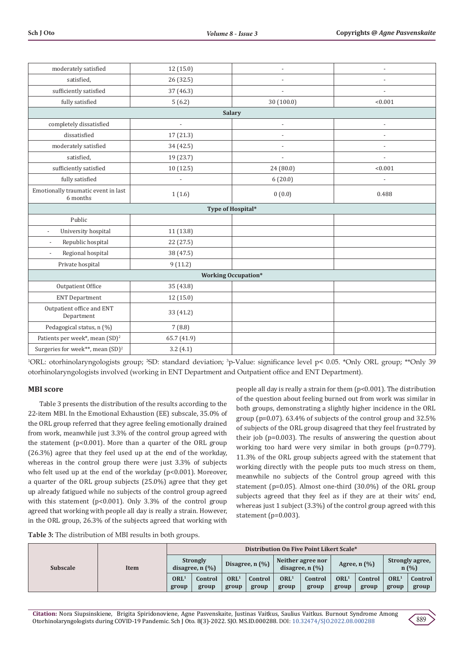| moderately satisfied                            | 12(15.0)                 |                            | $\overline{a}$           |  |  |  |  |  |  |  |
|-------------------------------------------------|--------------------------|----------------------------|--------------------------|--|--|--|--|--|--|--|
| satisfied,                                      | 26 (32.5)                |                            | ÷,                       |  |  |  |  |  |  |  |
| sufficiently satisfied                          | 37 (46.3)                |                            |                          |  |  |  |  |  |  |  |
| fully satisfied                                 | 5(6.2)                   | 30 (100.0)                 | < 0.001                  |  |  |  |  |  |  |  |
|                                                 |                          | <b>Salary</b>              |                          |  |  |  |  |  |  |  |
| completely dissatisfied                         | $\overline{\phantom{a}}$ | $\overline{a}$             | $\overline{\phantom{a}}$ |  |  |  |  |  |  |  |
| dissatisfied                                    | 17 (21.3)                | $\overline{\phantom{a}}$   | $\overline{a}$           |  |  |  |  |  |  |  |
| moderately satisfied                            | 34 (42.5)                |                            |                          |  |  |  |  |  |  |  |
| satisfied,                                      | 19 (23.7)                | $\overline{\phantom{a}}$   | $\overline{\phantom{a}}$ |  |  |  |  |  |  |  |
| sufficiently satisfied                          | 10 (12.5)                | 24 (80.0)                  | < 0.001                  |  |  |  |  |  |  |  |
| fully satisfied                                 |                          | 6(20.0)                    |                          |  |  |  |  |  |  |  |
| Emotionally traumatic event in last<br>6 months | 1(1.6)                   | 0(0.0)                     | 0.488                    |  |  |  |  |  |  |  |
| Type of Hospital*                               |                          |                            |                          |  |  |  |  |  |  |  |
| Public                                          |                          |                            |                          |  |  |  |  |  |  |  |
| University hospital<br>$\overline{a}$           | 11 (13.8)                |                            |                          |  |  |  |  |  |  |  |
| Republic hospital                               | 22 (27.5)                |                            |                          |  |  |  |  |  |  |  |
| Regional hospital                               | 38 (47.5)                |                            |                          |  |  |  |  |  |  |  |
| Private hospital                                | 9(11.2)                  |                            |                          |  |  |  |  |  |  |  |
|                                                 |                          | <b>Working Occupation*</b> |                          |  |  |  |  |  |  |  |
| Outpatient Office                               | 35 (43.8)                |                            |                          |  |  |  |  |  |  |  |
| <b>ENT Department</b>                           | 12 (15.0)                |                            |                          |  |  |  |  |  |  |  |
| Outpatient office and ENT<br>Department         | 33 (41.2)                |                            |                          |  |  |  |  |  |  |  |
| Pedagogical status, n (%)                       | 7(8.8)                   |                            |                          |  |  |  |  |  |  |  |
| Patients per week*, mean (SD) <sup>2</sup>      | 65.7 (41.9)              |                            |                          |  |  |  |  |  |  |  |
| Surgeries for week**, mean (SD) <sup>2</sup>    | 3.2(4.1)                 |                            |                          |  |  |  |  |  |  |  |

1 ORL: otorhinolaryngologists group; 2 SD: standard deviation; 3 p-Value: significance level p< 0.05. \*Only ORL group; \*\*Only 39 otorhinolaryngologists involved (working in ENT Department and Outpatient office and ENT Department).

## **MBI score**

Table 3 presents the distribution of the results according to the 22-item MBI. In the Emotional Exhaustion (EE) subscale, 35.0% of the ORL group referred that they agree feeling emotionally drained from work, meanwhile just 3.3% of the control group agreed with the statement ( $p<0.001$ ). More than a quarter of the ORL group (26.3%) agree that they feel used up at the end of the workday, whereas in the control group there were just 3.3% of subjects who felt used up at the end of the workday (p<0.001). Moreover, a quarter of the ORL group subjects (25.0%) agree that they get up already fatigued while no subjects of the control group agreed with this statement (p<0.001). Only 3.3% of the control group agreed that working with people all day is really a strain. However, in the ORL group, 26.3% of the subjects agreed that working with

people all day is really a strain for them (p<0.001). The distribution of the question about feeling burned out from work was similar in both groups, demonstrating a slightly higher incidence in the ORL group (p=0.07). 63.4% of subjects of the control group and 32.5% of subjects of the ORL group disagreed that they feel frustrated by their job (p=0.003). The results of answering the question about working too hard were very similar in both groups (p=0.779). 11.3% of the ORL group subjects agreed with the statement that working directly with the people puts too much stress on them, meanwhile no subjects of the Control group agreed with this statement (p=0.05). Almost one-third (30.0%) of the ORL group subjects agreed that they feel as if they are at their wits' end, whereas just 1 subject (3.3%) of the control group agreed with this statement (p=0.003).

**Table 3:** The distribution of MBI results in both groups.

| <b>Subscale</b> | Item | Distribution On Five Point Likert Scale* |                  |                                          |                  |                                                               |                  |                           |                  |                            |                  |  |
|-----------------|------|------------------------------------------|------------------|------------------------------------------|------------------|---------------------------------------------------------------|------------------|---------------------------|------------------|----------------------------|------------------|--|
|                 |      | <b>Strongly</b><br>disagree, $n$ $(\%)$  |                  | Disagree, $n$ $\left(\frac{9}{6}\right)$ |                  | Neither agree nor<br>disagree, $n$ $\left(\frac{9}{6}\right)$ |                  | Agree, $n$ $(\%)$         |                  | Strongly agree,<br>$n(\%)$ |                  |  |
|                 |      | ORL <sup>1</sup><br>group                | Control<br>group | ORL <sup>1</sup><br>group                | Control<br>group | ORL <sup>1</sup><br>group                                     | Control<br>group | ORL <sup>1</sup><br>group | Control<br>group | ORL <sup>1</sup><br>group  | Control<br>group |  |
|                 |      |                                          |                  |                                          |                  |                                                               |                  |                           |                  |                            |                  |  |

**Citation:** Nora Siupsinskiene, Brigita Spiridonoviene, Agne Pasvenskaite, Justinas Vaitkus, Saulius Vaitkus. Burnout Syndrome Among Otorhinolaryngologists during COVID-19 Pandemic. Sch J Oto. 8(3)-2022. SJO. MS.ID.000288. DOI: [10.32474/SJO.2022.08.000288](http://dx.doi.org/10.32474/SJO.2022.08.000288)

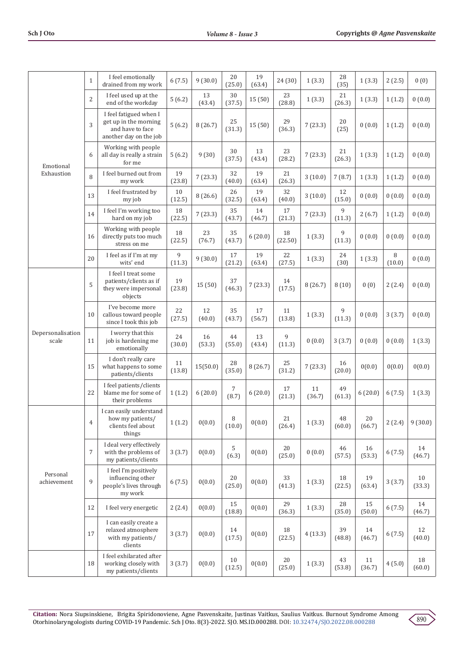|                                                             | $\mathbf{1}$   | I feel emotionally<br>drained from my work                                                    | 6(7.5)       | 9(30.0)      | 20<br>(25.0)     | 19<br>(63.4) | 24 (30)          | 1(3.3)       | 28<br>(35)   | 1(3.3)           | 2(2.5)      | 0(0)         |
|-------------------------------------------------------------|----------------|-----------------------------------------------------------------------------------------------|--------------|--------------|------------------|--------------|------------------|--------------|--------------|------------------|-------------|--------------|
| Emotional<br>Exhaustion<br>scale<br>Personal<br>achievement | $\overline{2}$ | I feel used up at the<br>end of the workday                                                   | 5(6.2)       | 13<br>(43.4) | 30<br>(37.5)     | 15(50)       | 23<br>(28.8)     | 1(3.3)       | 21<br>(26.3) | 1(3.3)           | 1(1.2)      | 0(0.0)       |
|                                                             | 3              | I feel fatigued when I<br>get up in the morning<br>and have to face<br>another day on the job | 5(6.2)       | 8(26.7)      | 25<br>(31.3)     | 15(50)       | 29<br>(36.3)     | 7(23.3)      | 20<br>(25)   | 0(0.0)           | 1(1.2)      | 0(0.0)       |
| Depersonalisation                                           | 6              | Working with people<br>all day is really a strain<br>for me                                   | 5(6.2)       | 9(30)        | 30<br>(37.5)     | 13<br>(43.4) | 23<br>(28.2)     | 7(23.3)      | 21<br>(26.3) | 1(3.3)           | 1(1.2)      | 0(0.0)       |
|                                                             | 8              | I feel burned out from<br>my work                                                             | 19<br>(23.8) | 7(23.3)      | 32<br>(40.0)     | 19<br>(63.4) | 21<br>(26.3)     | 3(10.0)      | 7(8.7)       | 1(3.3)           | 1(1.2)      | 0(0.0)       |
|                                                             | 13             | I feel frustrated by<br>my job                                                                | 10<br>(12.5) | 8(26.6)      | 26<br>(32.5)     | 19<br>(63.4) | 32<br>(40.0)     | 3(10.0)      | 12<br>(15.0) | 0(0.0)           | 0(0.0)      | 0(0.0)       |
|                                                             | 14             | I feel I'm working too<br>hard on my job                                                      | 18<br>(22.5) | 7(23.3)      | 35<br>(43.7)     | 14<br>(46.7) | $17\,$<br>(21.3) | 7(23.3)      | 9<br>(11.3)  | 2(6.7)           | 1(1.2)      | 0(0.0)       |
|                                                             | 16             | Working with people<br>directly puts too much<br>stress on me                                 | 18<br>(22.5) | 23<br>(76.7) | 35<br>(43.7)     | 6(20.0)      | 18<br>(22.50)    | 1(3.3)       | 9<br>(11.3)  | 0(0.0)           | 0(0.0)      | 0(0.0)       |
|                                                             | 20             | I feel as if I'm at my<br>wits' end                                                           | 9<br>(11.3)  | 9(30.0)      | 17<br>(21.2)     | 19<br>(63.4) | 22<br>(27.5)     | 1(3.3)       | 24<br>(30)   | 1(3.3)           | 8<br>(10.0) | 0(0.0)       |
|                                                             | 5              | I feel I treat some<br>patients/clients as if<br>they were impersonal<br>objects              | 19<br>(23.8) | 15(50)       | 37<br>(46.3)     | 7(23.3)      | 14<br>(17.5)     | 8(26.7)      | 8(10)        | 0(0)             | 2(2.4)      | 0(0.0)       |
|                                                             | 10             | I've become more<br>callous toward people<br>since I took this job                            | 22<br>(27.5) | 12<br>(40.0) | 35<br>(43.7)     | 17<br>(56.7) | 11<br>(13.8)     | 1(3.3)       | 9<br>(11.3)  | 0(0.0)           | 3(3.7)      | 0(0.0)       |
|                                                             | 11             | I worry that this<br>job is hardening me<br>emotionally                                       | 24<br>(30.0) | 16<br>(53.3) | 44<br>(55.0)     | 13<br>(43.4) | 9<br>(11.3)      | 0(0.0)       | 3(3.7)       | 0(0.0)           | 0(0.0)      | 1(3.3)       |
|                                                             | 15             | I don't really care<br>what happens to some<br>patients/clients                               | 11<br>(13.8) | 15(50.0)     | 28<br>(35.0)     | 8(26.7)      | 25<br>(31.2)     | 7(23.3)      | 16<br>(20.0) | 0(0.0)           | 0(0.0)      | 0(0.0)       |
|                                                             | 22             | I feel patients/clients<br>blame me for some of<br>their problems                             | 1(1.2)       | 6(20.0)      | 7<br>(8.7)       | 6(20.0)      | 17<br>(21.3)     | 11<br>(36.7) | 49<br>(61.3) | 6(20.0)          | 6(7.5)      | 1(3.3)       |
|                                                             | 4              | I can easily understand<br>how my patients/<br>clients feel about<br>things                   | 1(1.2)       | 0(0.0)       | 8<br>(10.0)      | 0(0.0)       | 21<br>(26.4)     | 1(3.3)       | 48<br>(60.0) | $20\,$<br>(66.7) | 2(2.4)      | 9(30.0)      |
|                                                             | $\overline{7}$ | I deal very effectively<br>with the problems of<br>my patients/clients                        | 3(3.7)       | 0(0.0)       | 5<br>(6.3)       | 0(0.0)       | 20<br>(25.0)     | 0(0.0)       | 46<br>(57.5) | 16<br>(53.3)     | 6(7.5)      | 14<br>(46.7) |
|                                                             | 9              | I feel I'm positively<br>influencing other<br>people's lives through<br>my work               | 6(7.5)       | 0(0.0)       | $20\,$<br>(25.0) | 0(0.0)       | 33<br>(41.3)     | 1(3.3)       | 18<br>(22.5) | 19<br>(63.4)     | 3(3.7)      | 10<br>(33.3) |
|                                                             | 12             | I feel very energetic                                                                         | 2(2.4)       | 0(0.0)       | 15<br>(18.8)     | 0(0.0)       | 29<br>(36.3)     | 1(3.3)       | 28<br>(35.0) | 15<br>(50.0)     | 6(7.5)      | 14<br>(46.7) |
|                                                             | 17             | I can easily create a<br>relaxed atmosphere<br>with my patients/<br>clients                   | 3(3.7)       | 0(0.0)       | 14<br>(17.5)     | 0(0.0)       | 18<br>(22.5)     | 4(13.3)      | 39<br>(48.8) | 14<br>(46.7)     | 6(7.5)      | 12<br>(40.0) |
|                                                             | 18             | I feel exhilarated after<br>working closely with<br>my patients/clients                       | 3(3.7)       | 0(0.0)       | 10<br>(12.5)     | 0(0.0)       | 20<br>(25.0)     | 1(3.3)       | 43<br>(53.8) | 11<br>(36.7)     | 4(5.0)      | 18<br>(60.0) |

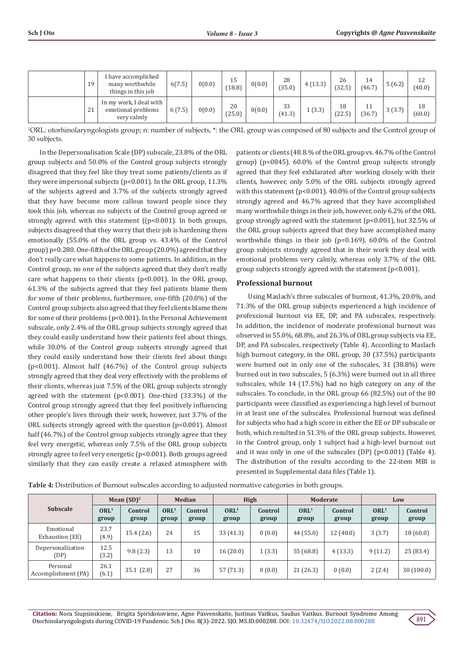| 19 | I have accomplished<br>many worthwhile<br>things in this job | 6(7.5) | 0(0.0) | 15<br>(18.8) | 0(0.0) | 28<br>(35.0) | 4(13.3) | 26<br>(32.5) | 14<br>(46.7) | 5(6.2) | 12<br>(40.0) |
|----|--------------------------------------------------------------|--------|--------|--------------|--------|--------------|---------|--------------|--------------|--------|--------------|
| 21 | In my work, I deal with<br>emotional problems<br>very calmly | 6(7.5) | 0(0.0) | 20<br>(25.0) | 0(0.0) | 33<br>(41.3) | 1(3.3)  | 18<br>(22.5) | 11<br>(36.7) | 3(3.7) | 18<br>(60.0) |

1 ORL: otorhinolaryngologists group; n: number of subjects, \*: the ORL group was composed of 80 subjects and the Control group of 30 subjects.

In the Depersonalisation Scale (DP) subscale, 23.8% of the ORL group subjects and 50.0% of the Control group subjects strongly disagreed that they feel like they treat some patients/clients as if they were impersonal subjects (p<0.001). In the ORL group, 11.3% of the subjects agreed and 3.7% of the subjects strongly agreed that they have become more callous toward people since they took this job, whereas no subjects of the Control group agreed or strongly agreed with this statement ((p<0.001). In both groups, subjects disagreed that they worry that their job is hardening them emotionally (55.0% of the ORL group vs. 43.4% of the Control group) p=0.280. One-fifth of the ORL group (20.0%) agreed that they don't really care what happens to some patients. In addition, in the Control group, no one of the subjects agreed that they don't really care what happens to their clients (p<0.001). In the ORL group, 61.3% of the subjects agreed that they feel patients blame them for some of their problems, furthermore, one-fifth (20.0%) of the Control group subjects also agreed that they feel clients blame them for some of their problems (p<0.001). In the Personal Achievement subscale, only 2.4% of the ORL group subjects strongly agreed that they could easily understand how their patients feel about things, while 30.0% of the Control group subjects strongly agreed that they could easily understand how their clients feel about things (p<0.001). Almost half (46.7%) of the Control group subjects strongly agreed that they deal very effectively with the problems of their clients, whereas just 7.5% of the ORL group subjects strongly agreed with the statement (p<0.001). One-third (33.3%) of the Control group strongly agreed that they feel positively influencing other people's lives through their work, however, just 3.7% of the ORL subjects strongly agreed with the question (p<0.001). Almost half (46.7%) of the Control group subjects strongly agree that they feel very energetic, whereas only 7.5% of the ORL group subjects strongly agree to feel very energetic (p<0.001). Both groups agreed similarly that they can easily create a relaxed atmosphere with

patients or clients (48.8.% of the ORL group vs. 46.7% of the Control group) (p=0845). 60.0% of the Control group subjects strongly agreed that they feel exhilarated after working closely with their clients, however, only 5.0% of the ORL subjects strongly agreed with this statement (p<0.001). 40.0% of the Control group subjects strongly agreed and 46.7% agreed that they have accomplished many worthwhile things in their job, however, only 6.2% of the ORL group strongly agreed with the statement (p<0.001), but 32.5% of the ORL group subjects agreed that they have accomplished many worthwhile things in their job (p=0.169). 60.0% of the Control group subjects strongly agreed that in their work they deal with emotional problems very calmly, whereas only 3.7% of the ORL group subjects strongly agreed with the statement (p<0.001).

### **Professional burnout**

Using Maslach's three subscales of burnout, 41.3%, 20.0%, and 71.3% of the ORL group subjects experienced a high incidence of professional burnout via EE, DP, and PA subscales, respectively. In addition, the incidence of moderate professional burnout was observed in 55.0%, 68.8%, and 26.3% of ORL group subjects via EE, DP, and PA subscales, respectively (Table 4). According to Maslach high burnout category, in the ORL group, 30 (37.5%) participants were burned out in only one of the subscales, 31 (38.8%) were burned out in two subscales, 5 (6.3%) were burned out in all three subscales, while 14 (17.5%) had no high category on any of the subscales. To conclude, in the ORL group 66 (82.5%) out of the 80 participants were classified as experiencing a high level of burnout in at least one of the subscales. Professional burnout was defined for subjects who had a high score in either the EE or DP subscale or both, which resulted in 51.3% of the ORL group subjects. However, in the Control group, only 1 subject had a high-level burnout out and it was only in one of the subscales (DP)  $(p<0.001)$  (Table 4). The distribution of the results according to the 22-item MBI is presented in Supplemental data files (Table 1).

| Subscale                        | Mean $(SD)^2$             |                  | <b>Median</b>             |                  | High                      |                  |                           | <b>Moderate</b>  | Low                       |                  |  |
|---------------------------------|---------------------------|------------------|---------------------------|------------------|---------------------------|------------------|---------------------------|------------------|---------------------------|------------------|--|
|                                 | ORL <sup>1</sup><br>group | Control<br>group | ORL <sup>1</sup><br>group | Control<br>group | ORL <sup>1</sup><br>group | Control<br>group | ORL <sup>1</sup><br>group | Control<br>group | ORL <sup>1</sup><br>group | Control<br>group |  |
| Emotional<br>Exhaustion (EE)    | 23.7<br>(4.9)             | 15.4(2.6)        | 24                        | 15               | 33(41.3)                  | 0(0.0)           | 44(55.0)                  | 12(40.0)         | 3(3.7)                    | 18(60.0)         |  |
| Depersonalization<br>(DP)       | 12.5<br>(3.2)             | 9.8(2.3)         | 13                        | 10               | 16(20.0)                  | 1(3.3)           | 55 (68.8)                 | 4(13.3)          | 9(11.2)                   | 25 (83.4)        |  |
| Personal<br>Accomplishment (PA) | 26.1<br>(6.1)             | 35.1(2.8)        | 27                        | 36               | 57(71.3)                  | 0(0.0)           | 21(26.3)                  | 0(0.0)           | 2(2.4)                    | 30(100.0)        |  |

**Table 4:** Distribution of Burnout subscales according to adjusted normative categories in both groups.

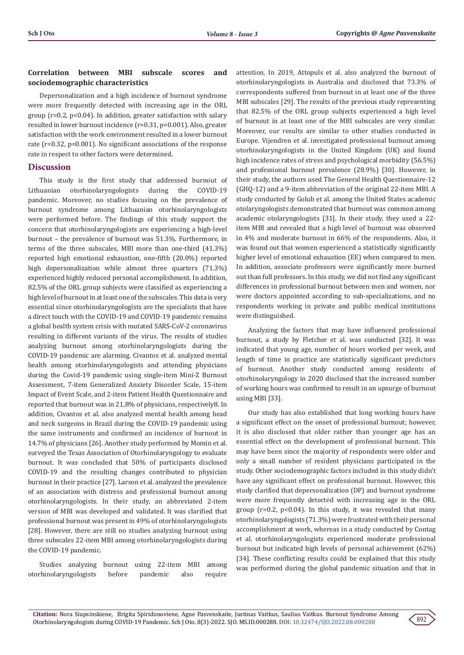# **Correlation between MBI subscale scores and sociodemographic characteristics**

Depersonalization and a high incidence of burnout syndrome were more frequently detected with increasing age in the ORL group (r=0.2, p<0.04). In addition, greater satisfaction with salary resulted in lower burnout incidence (r=0.31, p=0.001). Also, greater satisfaction with the work environment resulted in a lower burnout rate (r=0.32, p=0.001). No significant associations of the response rate in respect to other factors were determined.

## **Discussion**

This study is the first study that addressed burnout of Lithuanian otorhinolaryngologists during the COVID-19 pandemic. Moreover, no studies focusing on the prevalence of burnout syndrome among Lithuanian otorhinolaryngologists were performed before. The findings of this study support the concern that otorhinolaryngologists are experiencing a high-level burnout – the prevalence of burnout was 51.3%. Furthermore, in terms of the three subscales, MBI more than one-third (41.3%) reported high emotional exhaustion, one-fifth (20.0%) reported high depersonalization while almost three quarters (71.3%) experienced highly reduced personal accomplishment. In addition, 82.5% of the ORL group subjects were classified as experiencing a high level of burnout in at least one of the subscales. This data is very essential since otorhinolaryngologists are the specialists that have a direct touch with the COVID-19 and COVID-19 pandemic remains a global health system crisis with mutated SARS-CoV-2 coronavirus resulting in different variants of the virus. The results of studies analyzing burnout among otorhinolaryngologists during the COVID-19 pandemic are alarming. Civantos et al. analyzed mental health among otorhinolaryngologists and attending physicians during the Covid-19 pandemic using single-item Mini-Z Burnout Assessment, 7-item Generalized Anxiety Disorder Scale, 15-item Impact of Event Scale, and 2-item Patient Health Questionnaire and reported that burnout was in 21,8% of physicians, respectively8. In addition, Civantos et al. also analyzed mental health among head and neck surgeons in Brazil during the COVID-19 pandemic using the same instruments and confirmed an incidence of burnout in 14.7% of physicians [26]. Another study performed by Momin et al. surveyed the Texas Association of Otorhinolaryngology to evaluate burnout. It was concluded that 50% of participants disclosed COVID-19 and the resulting changes contributed to physician burnout in their practice [27]. Larson et al. analyzed the prevalence of an association with distress and professional burnout among otorhinolaryngologists. In their study, an abbreviated 2-item version of MBI was developed and validated. It was clarified that professional burnout was present in 49% of otorhinolaryngologists [28]. However, there are still no studies analyzing burnout using three subscales 22-item MBI among otorhinolaryngologists during the COVID-19 pandemic.

Studies analyzing burnout using 22-item MBI among otorhinolaryngologists before pandemic also require

attention. In 2019, Attopuls et al. also analyzed the burnout of otorhinolaryngologists in Australia and disclosed that 73.3% of correspondents suffered from burnout in at least one of the three MBI subscales [29]. The results of the previous study representing that 82.5% of the ORL group subjects experienced a high level of burnout in at least one of the MBI subscales are very similar. Moreover, our results are similar to other studies conducted in Europe. Vijendren et al. investigated professional burnout among otorhinolaryngologists in the United Kingdom (UK) and found high incidence rates of stress and psychological morbidity (56.5%) and professional burnout prevalence (28.9%) [30]. However, in their study, the authors used The General Health Questionnaire-12 (GHQ-12) and a 9-item abbreviation of the original 22-item MBI. A study conducted by Golub et al. among the United States academic otolaryngologists demonstrated that burnout was common among academic otolaryngologists [31]. In their study, they used a 22 item MBI and revealed that a high level of burnout was observed in 4% and moderate burnout in 66% of the respondents. Also, it was found out that women experienced a statistically significantly higher level of emotional exhaustion (EE) when compared to men. In addition, associate professors were significantly more burned out than full professors. In this study, we did not find any significant differences in professional burnout between men and women, nor were doctors appointed according to sub-specializations, and no respondents working in private and public medical institutions were distinguished.

Analyzing the factors that may have influenced professional burnout, a study by Fletcher et al. was conducted [32]. It was indicated that young age, number of hours worked per week, and length of time in practice are statistically significant predictors of burnout. Another study conducted among residents of otorhinolaryngology in 2020 disclosed that the increased number of working hours was confirmed to result in an upsurge of burnout using MBI [33].

Our study has also established that long working hours have a significant effect on the onset of professional burnout; however, it is also disclosed that older rather than younger age has an essential effect on the development of professional burnout. This may have been since the majority of respondents were older and only a small number of resident physicians participated in the study. Other sociodemographic factors included in this study didn't have any significant effect on professional burnout. However, this study clarified that depersonalization (DP) and burnout syndrome were more frequently detected with increasing age in the ORL group ( $r=0.2$ ,  $p<0.04$ ). In this study, it was revealed that many otorhinolaryngologists (71.3%) were frustrated with their personal accomplishment at work, whereas in a study conducted by Contag et al. otorhinolaryngologists experienced moderate professional burnout but indicated high levels of personal achievement (62%) [34]. These conflicting results could be explained that this study was performed during the global pandemic situation and that in

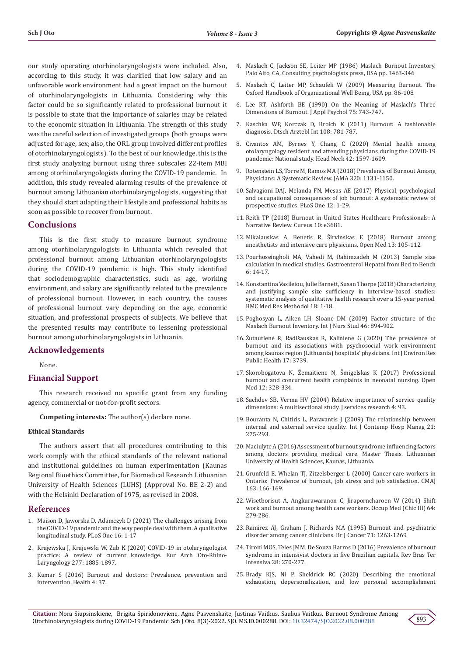our study operating otorhinolaryngologists were included. Also, according to this study, it was clarified that low salary and an unfavorable work environment had a great impact on the burnout of otorhinolaryngologists in Lithuania. Considering why this factor could be so significantly related to professional burnout it is possible to state that the importance of salaries may be related to the economic situation in Lithuania. The strength of this study was the careful selection of investigated groups (both groups were adjusted for age, sex; also, the ORL group involved different profiles of otorhinolaryngologists). To the best of our knowledge, this is the first study analyzing burnout using three subscales 22-item MBI among otorhinolaryngologists during the COVID-19 pandemic. In addition, this study revealed alarming results of the prevalence of burnout among Lithuanian otorhinolaryngologists, suggesting that they should start adapting their lifestyle and professional habits as soon as possible to recover from burnout.

## **Conclusions**

This is the first study to measure burnout syndrome among otorhinolaryngologists in Lithuania which revealed that professional burnout among Lithuanian otorhinolaryngologists during the COVID-19 pandemic is high. This study identified that sociodemographic characteristics, such as age, working environment, and salary are significantly related to the prevalence of professional burnout. However, in each country, the causes of professional burnout vary depending on the age, economic situation, and professional prospects of subjects. We believe that the presented results may contribute to lessening professional burnout among otorhinolaryngologists in Lithuania.

## **Acknowledgements**

None.

# **Financial Support**

This research received no specific grant from any funding agency, commercial or not-for-profit sectors.

**Competing interests:** The author(s) declare none.

#### **Ethical Standards**

The authors assert that all procedures contributing to this work comply with the ethical standards of the relevant national and institutional guidelines on human experimentation (Kaunas Regional Bioethics Committee, for Biomedical Research Lithuanian University of Health Sciences (LUHS) (Approval No. BE 2-2) and with the Helsinki Declaration of 1975, as revised in 2008.

#### **References**

- 1. [Maison D, Jaworska D, Adamczyk D \(2021\) The challenges arising from](https://pubmed.ncbi.nlm.nih.gov/34634054/)  [the COVID-19 pandemic and the way people deal with them. A qualitative](https://pubmed.ncbi.nlm.nih.gov/34634054/)  [longitudinal study. PLoS One 16: 1-17](https://pubmed.ncbi.nlm.nih.gov/34634054/)
- 2. [Krajewska J, Krajewski W, Zub K \(2020\) COVID-19 in otolaryngologist](https://pubmed.ncbi.nlm.nih.gov/32306118/)  [practice: A review of current knowledge. Eur Arch Oto-Rhino-](https://pubmed.ncbi.nlm.nih.gov/32306118/)[Laryngology 277: 1885-1897.](https://pubmed.ncbi.nlm.nih.gov/32306118/)
- 3. [Kumar S \(2016\) Burnout and doctors: Prevalence, prevention and](https://pubmed.ncbi.nlm.nih.gov/27417625/)  [intervention. Health 4: 37.](https://pubmed.ncbi.nlm.nih.gov/27417625/)
- 4. [Maslach C, Jackson SE, Leiter MP \(1986\) Maslach Burnout Inventory.](https://www.scirp.org/(S(i43dyn45teexjx455qlt3d2q))/reference/ReferencesPapers.aspx?ReferenceID=757447) [Palo Alto, CA, Consulting psychologists press, USA pp. 3463-346](https://www.scirp.org/(S(i43dyn45teexjx455qlt3d2q))/reference/ReferencesPapers.aspx?ReferenceID=757447)
- 5. [Maslach C, Leiter MP, Schaufeli W \(2009\) Measuring Burnout. The](https://www.oxfordhandbooks.com/view/10.1093/oxfordhb/9780199211913.001.0001/oxfordhb-9780199211913-e-005) [Oxford Handbook of Organizational Well Being, USA pp. 86-108.](https://www.oxfordhandbooks.com/view/10.1093/oxfordhb/9780199211913.001.0001/oxfordhb-9780199211913-e-005)
- 6. [Lee RT, Ashforth BE \(1990\) On the Meaning of Maslach's Three](https://pubmed.ncbi.nlm.nih.gov/1981064/) [Dimensions of Burnout. J Appl Psychol 75: 743-747.](https://pubmed.ncbi.nlm.nih.gov/1981064/)
- 7. [Kaschka WP, Korczak D, Broich K \(2011\) Burnout: A fashionable](https://pubmed.ncbi.nlm.nih.gov/22163259/) [diagnosis. Dtsch Arztebl Int 108: 781-787.](https://pubmed.ncbi.nlm.nih.gov/22163259/)
- 8. [Civantos AM, Byrnes Y, Chang C \(2020\) Mental health among](https://pubmed.ncbi.nlm.nih.gov/32496637/) [otolaryngology resident and attending physicians during the COVID-19](https://pubmed.ncbi.nlm.nih.gov/32496637/) [pandemic: National study. Head Neck 42: 1597-1609.](https://pubmed.ncbi.nlm.nih.gov/32496637/)
- 9. [Rotenstein LS, Torre M, Ramos MA \(2018\) Prevalence of Burnout Among](https://pubmed.ncbi.nlm.nih.gov/30326495/) [Physicians: A Systematic Review. JAMA 320: 1131-1150.](https://pubmed.ncbi.nlm.nih.gov/30326495/)
- 10. [Salvagioni DAJ, Melanda FN, Mesas AE \(2017\) Physical, psychological](https://pubmed.ncbi.nlm.nih.gov/28977041/) [and occupational consequences of job burnout: A systematic review of](https://pubmed.ncbi.nlm.nih.gov/28977041/) [prospective studies. PLoS One 12: 1-29.](https://pubmed.ncbi.nlm.nih.gov/28977041/)
- 11. [Reith TP \(2018\) Burnout in United States Healthcare Professionals: A](https://pubmed.ncbi.nlm.nih.gov/30761233/) [Narrative Review. Cureus 10: e3681.](https://pubmed.ncbi.nlm.nih.gov/30761233/)
- 12. [Mikalauskas A, Benetis R, Širvinskas E \(2018\) Burnout among](https://pubmed.ncbi.nlm.nih.gov/29666844/) [anesthetists and intensive care physicians. Open Med 13: 105-112.](https://pubmed.ncbi.nlm.nih.gov/29666844/)
- 13. [Pourhoseingholi MA, Vahedi M, Rahimzadeh M \(2013\) Sample size](https://pubmed.ncbi.nlm.nih.gov/24834239/) [calculation in medical studies. Gastroenterol Hepatol from Bed to Bench](https://pubmed.ncbi.nlm.nih.gov/24834239/) [6: 14-17.](https://pubmed.ncbi.nlm.nih.gov/24834239/)
- 14. [Konstantina Vasileiou, Julie Barnett, Susan Thorpe \(2018\) Characterizing](https://pubmed.ncbi.nlm.nih.gov/30463515/) [and justifying sample size sufficiency in interview-based studies:](https://pubmed.ncbi.nlm.nih.gov/30463515/) [systematic analysis of qualitative health research over a 15-year period.](https://pubmed.ncbi.nlm.nih.gov/30463515/) [BMC Med Res Methodol 18: 1-18.](https://pubmed.ncbi.nlm.nih.gov/30463515/)
- 15. Poghosyan L, Aiken LH, Sloane DM (2009) Factor structure of the Maslach Burnout Inventory. Int J Nurs Stud 46: 894-902.
- 16. [Žutautienė R, Radišauskas R, Kaliniene G \(2020\) The prevalence of](https://pubmed.ncbi.nlm.nih.gov/32466238/) [burnout and its associations with psychosocial work environment](https://pubmed.ncbi.nlm.nih.gov/32466238/) [among kaunas region \(Lithuania\) hospitals' physicians. Int J Environ Res](https://pubmed.ncbi.nlm.nih.gov/32466238/) [Public Health 17: 3739.](https://pubmed.ncbi.nlm.nih.gov/32466238/)
- 17. [Skorobogatova N, Žemaitiene N, Šmigelskas K \(2017\) Professional](https://www.researchgate.net/publication/320350952_Professional_Burnout_and_Concurrent_Health_Complaints_in_Neonatal_Nursing) [burnout and concurrent health complaints in neonatal nursing. Open](https://www.researchgate.net/publication/320350952_Professional_Burnout_and_Concurrent_Health_Complaints_in_Neonatal_Nursing) [Med 12: 328-334.](https://www.researchgate.net/publication/320350952_Professional_Burnout_and_Concurrent_Health_Complaints_in_Neonatal_Nursing)
- 18. [Sachdev SB, Verma HV \(2004\) Relative importance of service quality](https://dl.acm.org/doi/abs/10.1016/j.ijinfomgt.2018.02.001) [dimensions: A multisectional study. J services research 4: 93.](https://dl.acm.org/doi/abs/10.1016/j.ijinfomgt.2018.02.001)
- 19. [Bouranta N, Chitiris L, Paravantis J \(2009\) The relationship between](https://www.researchgate.net/publication/242345043_The_relationship_between_internal_and_external_service_quality) [internal and external service quality. Int J Contemp Hosp Manag 21:](https://www.researchgate.net/publication/242345043_The_relationship_between_internal_and_external_service_quality) [275-293.](https://www.researchgate.net/publication/242345043_The_relationship_between_internal_and_external_service_quality)
- 20. Maciulyte A (2016) Assessment of burnout syndrome influencing factors among doctors providing medical care. Master Thesis. Lithuanian University of Health Sciences, Kaunas, Lithuania.
- 21. [Grunfeld E, Whelan TJ, Zitzelsberger L \(2000\) Cancer care workers in](https://pubmed.ncbi.nlm.nih.gov/10934978/) [Ontario: Prevalence of burnout, job stress and job satisfaction. CMAJ](https://pubmed.ncbi.nlm.nih.gov/10934978/) [163: 166-169.](https://pubmed.ncbi.nlm.nih.gov/10934978/)
- 22. [Wisetborisut A, Angkurawaranon C, Jiraporncharoen W \(2014\) Shift](https://pubmed.ncbi.nlm.nih.gov/24550196/) [work and burnout among health care workers. Occup Med \(Chic Ill\) 64:](https://pubmed.ncbi.nlm.nih.gov/24550196/) [279-286.](https://pubmed.ncbi.nlm.nih.gov/24550196/)
- 23. [Ramirez AJ, Graham J, Richards MA \(1995\) Burnout and psychiatric](https://pubmed.ncbi.nlm.nih.gov/7540037/) [disorder among cancer clinicians. Br J Cancer 71: 1263-1269.](https://pubmed.ncbi.nlm.nih.gov/7540037/)
- 24. [Tironi MOS, Teles JMM, De Souza Barros D \(2016\) Prevalence of burnout](https://pubmed.ncbi.nlm.nih.gov/27737426/) [syndrome in intensivist doctors in five Brazilian capitals. Rev Bras Ter](https://pubmed.ncbi.nlm.nih.gov/27737426/) [Intensiva 28: 270-277.](https://pubmed.ncbi.nlm.nih.gov/27737426/)
- 25. [Brady KJS, Ni P, Sheldrick RC \(2020\) Describing the emotional](https://jpro.springeropen.com/articles/10.1186/s41687-020-00204-x) [exhaustion, depersonalization, and low personal accomplishment](https://jpro.springeropen.com/articles/10.1186/s41687-020-00204-x)